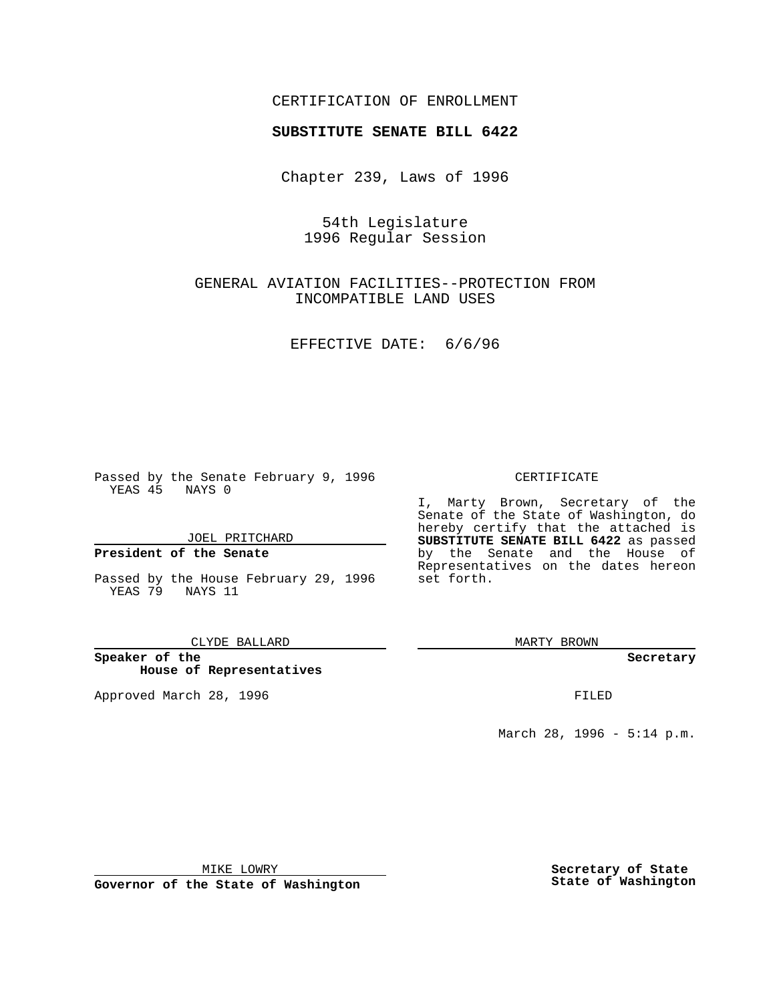## CERTIFICATION OF ENROLLMENT

# **SUBSTITUTE SENATE BILL 6422**

Chapter 239, Laws of 1996

54th Legislature 1996 Regular Session

GENERAL AVIATION FACILITIES--PROTECTION FROM INCOMPATIBLE LAND USES

EFFECTIVE DATE: 6/6/96

Passed by the Senate February 9, 1996 YEAS 45 NAYS 0

JOEL PRITCHARD

### **President of the Senate**

Passed by the House February 29, 1996 YEAS 79 NAYS 11

CLYDE BALLARD

**Speaker of the House of Representatives**

Approved March 28, 1996 FILED

### CERTIFICATE

I, Marty Brown, Secretary of the Senate of the State of Washington, do hereby certify that the attached is **SUBSTITUTE SENATE BILL 6422** as passed by the Senate and the House of Representatives on the dates hereon set forth.

MARTY BROWN

#### **Secretary**

March 28, 1996 - 5:14 p.m.

MIKE LOWRY

**Governor of the State of Washington**

**Secretary of State State of Washington**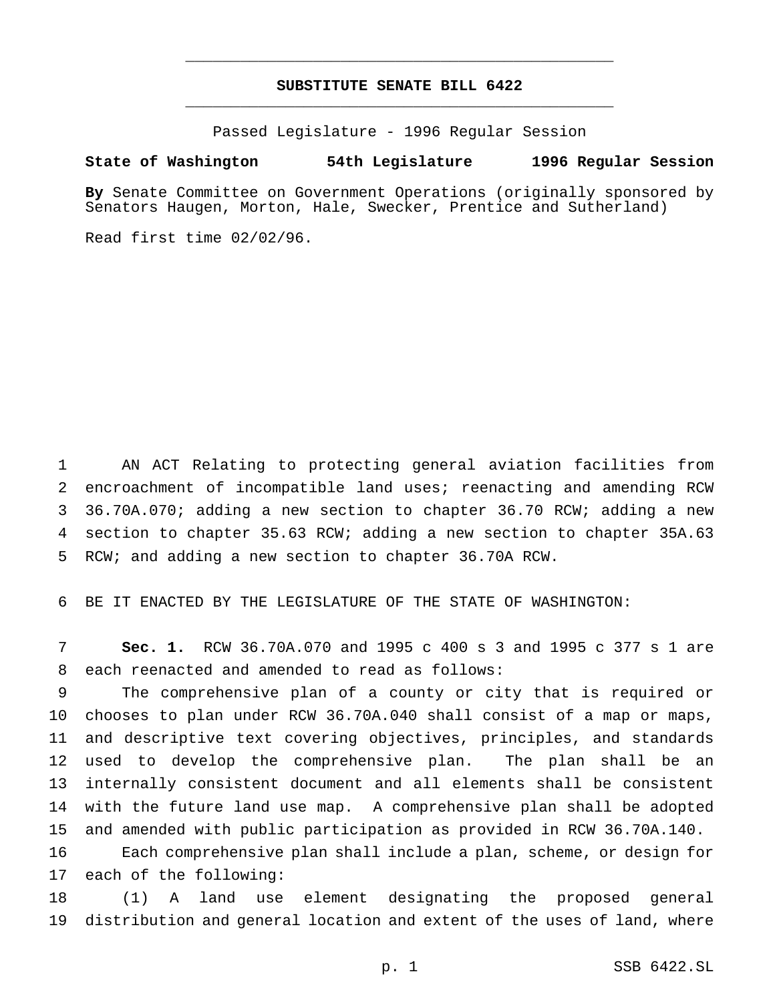## **SUBSTITUTE SENATE BILL 6422** \_\_\_\_\_\_\_\_\_\_\_\_\_\_\_\_\_\_\_\_\_\_\_\_\_\_\_\_\_\_\_\_\_\_\_\_\_\_\_\_\_\_\_\_\_\_\_

\_\_\_\_\_\_\_\_\_\_\_\_\_\_\_\_\_\_\_\_\_\_\_\_\_\_\_\_\_\_\_\_\_\_\_\_\_\_\_\_\_\_\_\_\_\_\_

Passed Legislature - 1996 Regular Session

#### **State of Washington 54th Legislature 1996 Regular Session**

**By** Senate Committee on Government Operations (originally sponsored by Senators Haugen, Morton, Hale, Swecker, Prentice and Sutherland)

Read first time 02/02/96.

 AN ACT Relating to protecting general aviation facilities from encroachment of incompatible land uses; reenacting and amending RCW 36.70A.070; adding a new section to chapter 36.70 RCW; adding a new section to chapter 35.63 RCW; adding a new section to chapter 35A.63 RCW; and adding a new section to chapter 36.70A RCW.

BE IT ENACTED BY THE LEGISLATURE OF THE STATE OF WASHINGTON:

 **Sec. 1.** RCW 36.70A.070 and 1995 c 400 s 3 and 1995 c 377 s 1 are each reenacted and amended to read as follows:

 The comprehensive plan of a county or city that is required or chooses to plan under RCW 36.70A.040 shall consist of a map or maps, and descriptive text covering objectives, principles, and standards used to develop the comprehensive plan. The plan shall be an internally consistent document and all elements shall be consistent with the future land use map. A comprehensive plan shall be adopted and amended with public participation as provided in RCW 36.70A.140.

 Each comprehensive plan shall include a plan, scheme, or design for each of the following:

 (1) A land use element designating the proposed general distribution and general location and extent of the uses of land, where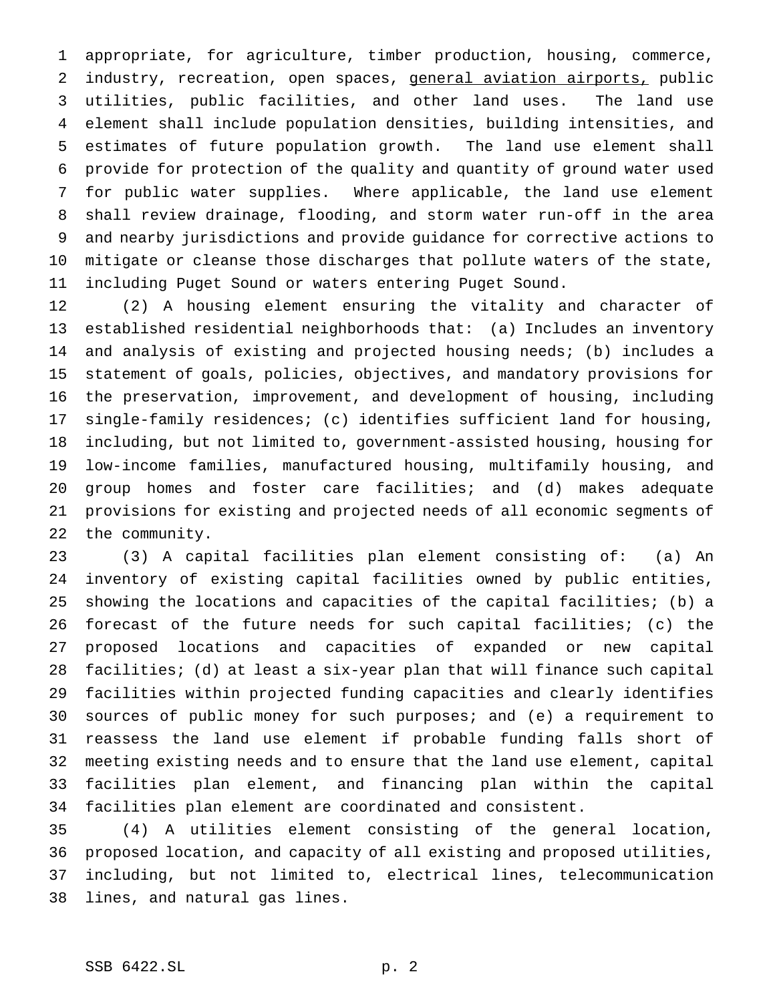appropriate, for agriculture, timber production, housing, commerce, 2 industry, recreation, open spaces, general aviation airports, public utilities, public facilities, and other land uses. The land use element shall include population densities, building intensities, and estimates of future population growth. The land use element shall provide for protection of the quality and quantity of ground water used for public water supplies. Where applicable, the land use element shall review drainage, flooding, and storm water run-off in the area and nearby jurisdictions and provide guidance for corrective actions to mitigate or cleanse those discharges that pollute waters of the state, including Puget Sound or waters entering Puget Sound.

 (2) A housing element ensuring the vitality and character of established residential neighborhoods that: (a) Includes an inventory and analysis of existing and projected housing needs; (b) includes a statement of goals, policies, objectives, and mandatory provisions for the preservation, improvement, and development of housing, including single-family residences; (c) identifies sufficient land for housing, including, but not limited to, government-assisted housing, housing for low-income families, manufactured housing, multifamily housing, and group homes and foster care facilities; and (d) makes adequate provisions for existing and projected needs of all economic segments of the community.

 (3) A capital facilities plan element consisting of: (a) An inventory of existing capital facilities owned by public entities, showing the locations and capacities of the capital facilities; (b) a forecast of the future needs for such capital facilities; (c) the proposed locations and capacities of expanded or new capital facilities; (d) at least a six-year plan that will finance such capital facilities within projected funding capacities and clearly identifies sources of public money for such purposes; and (e) a requirement to reassess the land use element if probable funding falls short of meeting existing needs and to ensure that the land use element, capital facilities plan element, and financing plan within the capital facilities plan element are coordinated and consistent.

 (4) A utilities element consisting of the general location, proposed location, and capacity of all existing and proposed utilities, including, but not limited to, electrical lines, telecommunication lines, and natural gas lines.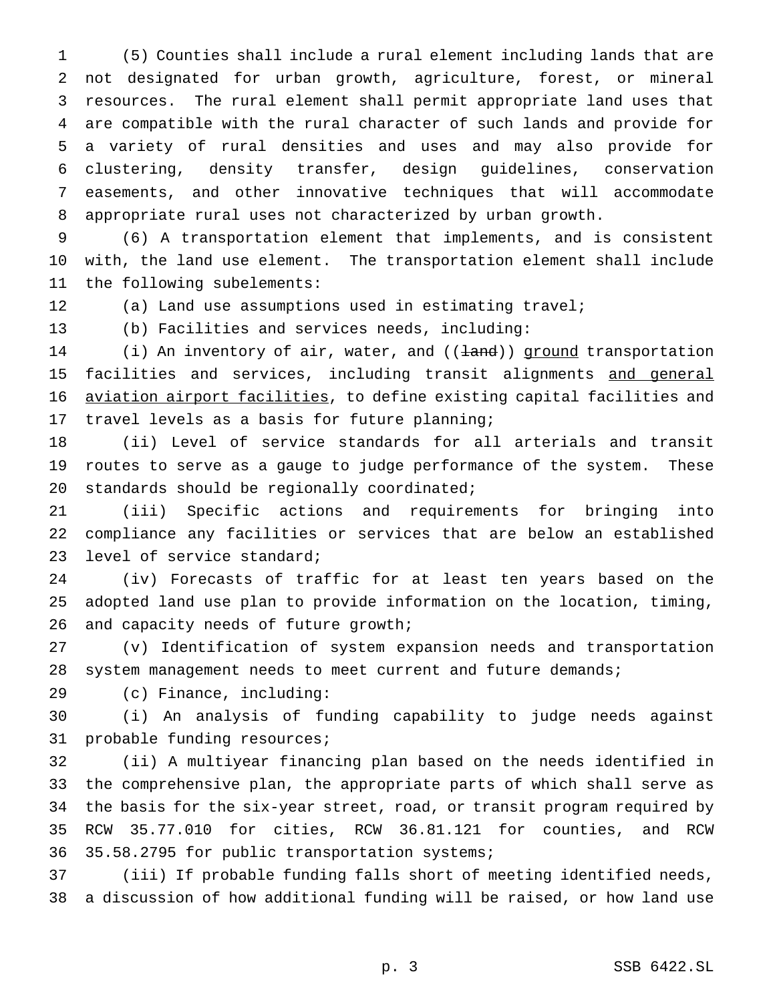(5) Counties shall include a rural element including lands that are not designated for urban growth, agriculture, forest, or mineral resources. The rural element shall permit appropriate land uses that are compatible with the rural character of such lands and provide for a variety of rural densities and uses and may also provide for clustering, density transfer, design guidelines, conservation easements, and other innovative techniques that will accommodate appropriate rural uses not characterized by urban growth.

 (6) A transportation element that implements, and is consistent with, the land use element. The transportation element shall include the following subelements:

(a) Land use assumptions used in estimating travel;

(b) Facilities and services needs, including:

14 (i) An inventory of air, water, and (( $\pm$ and)) ground transportation 15 facilities and services, including transit alignments and general aviation airport facilities, to define existing capital facilities and travel levels as a basis for future planning;

 (ii) Level of service standards for all arterials and transit routes to serve as a gauge to judge performance of the system. These standards should be regionally coordinated;

 (iii) Specific actions and requirements for bringing into compliance any facilities or services that are below an established level of service standard;

 (iv) Forecasts of traffic for at least ten years based on the adopted land use plan to provide information on the location, timing, and capacity needs of future growth;

 (v) Identification of system expansion needs and transportation system management needs to meet current and future demands;

(c) Finance, including:

 (i) An analysis of funding capability to judge needs against probable funding resources;

 (ii) A multiyear financing plan based on the needs identified in the comprehensive plan, the appropriate parts of which shall serve as the basis for the six-year street, road, or transit program required by RCW 35.77.010 for cities, RCW 36.81.121 for counties, and RCW 35.58.2795 for public transportation systems;

 (iii) If probable funding falls short of meeting identified needs, a discussion of how additional funding will be raised, or how land use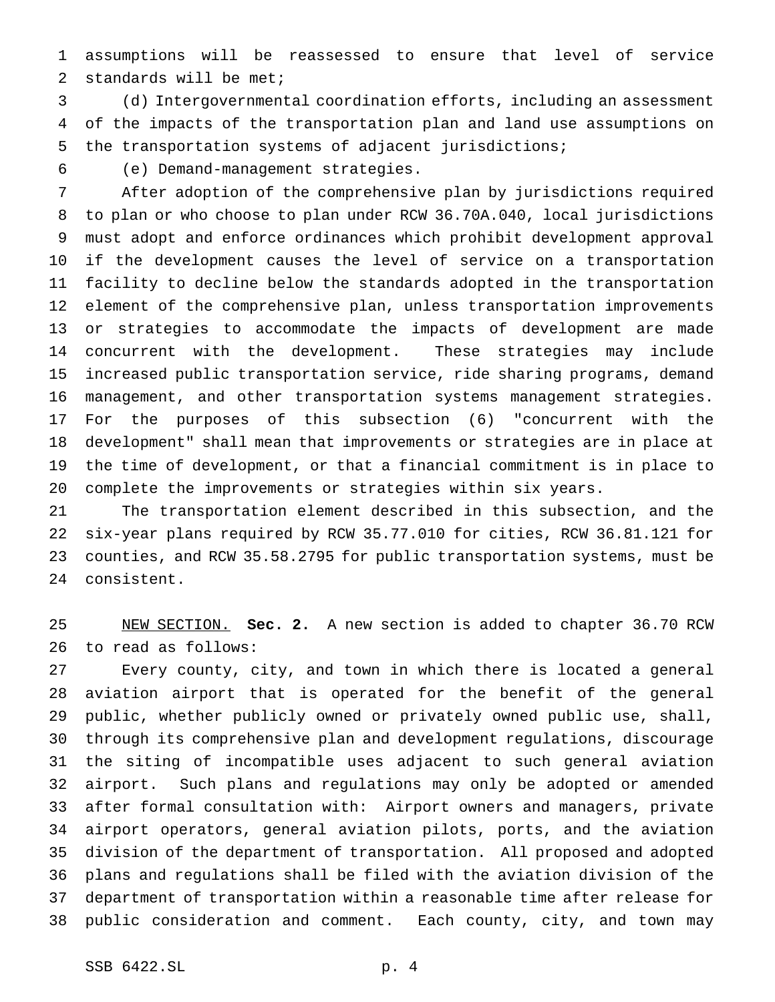assumptions will be reassessed to ensure that level of service standards will be met;

 (d) Intergovernmental coordination efforts, including an assessment of the impacts of the transportation plan and land use assumptions on the transportation systems of adjacent jurisdictions;

(e) Demand-management strategies.

 After adoption of the comprehensive plan by jurisdictions required to plan or who choose to plan under RCW 36.70A.040, local jurisdictions must adopt and enforce ordinances which prohibit development approval if the development causes the level of service on a transportation facility to decline below the standards adopted in the transportation element of the comprehensive plan, unless transportation improvements or strategies to accommodate the impacts of development are made concurrent with the development. These strategies may include increased public transportation service, ride sharing programs, demand management, and other transportation systems management strategies. For the purposes of this subsection (6) "concurrent with the development" shall mean that improvements or strategies are in place at the time of development, or that a financial commitment is in place to complete the improvements or strategies within six years.

 The transportation element described in this subsection, and the six-year plans required by RCW 35.77.010 for cities, RCW 36.81.121 for counties, and RCW 35.58.2795 for public transportation systems, must be consistent.

 NEW SECTION. **Sec. 2.** A new section is added to chapter 36.70 RCW to read as follows:

 Every county, city, and town in which there is located a general aviation airport that is operated for the benefit of the general public, whether publicly owned or privately owned public use, shall, through its comprehensive plan and development regulations, discourage the siting of incompatible uses adjacent to such general aviation airport. Such plans and regulations may only be adopted or amended after formal consultation with: Airport owners and managers, private airport operators, general aviation pilots, ports, and the aviation division of the department of transportation. All proposed and adopted plans and regulations shall be filed with the aviation division of the department of transportation within a reasonable time after release for public consideration and comment. Each county, city, and town may